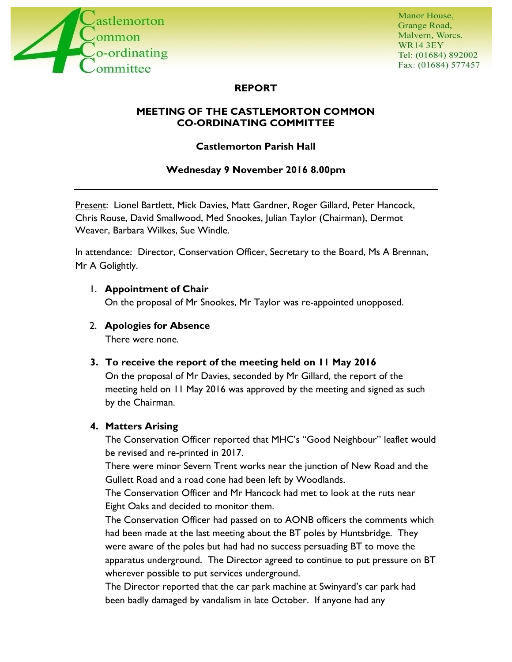

# **REPORT**

# **MEETING OF THE CASTLEMORTON COMMON CO-ORDINATING COMMITTEE**

# **Castlemorton Parish Hall**

# **Wednesday 9 November 2016 8.00pm**

Present: Lionel Bartlett, Mick Davies, Matt Gardner, Roger Gillard, Peter Hancock, Chris Rouse, David Smallwood, Med Snookes, Julian Taylor (Chairman), Dermot Weaver, Barbara Wilkes, Sue Windle.

In attendance: Director, Conservation Officer, Secretary to the Board, Ms A Brennan, Mr A Golightly.

## 1. **Appointment of Chair**

On the proposal of Mr Snookes, Mr Taylor was re-appointed unopposed.

2. **Apologies for Absence**

There were none.

# **3. To receive the report of the meeting held on 11 May 2016**

On the proposal of Mr Davies, seconded by Mr Gillard, the report of the meeting held on 11 May 2016 was approved by the meeting and signed as such by the Chairman.

# **4. Matters Arising**

The Conservation Officer reported that MHC's "Good Neighbour" leaflet would be revised and re-printed in 2017.

There were minor Severn Trent works near the junction of New Road and the Gullett Road and a road cone had been left by Woodlands.

The Conservation Officer and Mr Hancock had met to look at the ruts near Eight Oaks and decided to monitor them.

The Conservation Officer had passed on to AONB officers the comments which had been made at the last meeting about the BT poles by Huntsbridge. They were aware of the poles but had had no success persuading BT to move the apparatus underground. The Director agreed to continue to put pressure on BT wherever possible to put services underground.

The Director reported that the car park machine at Swinyard's car park had been badly damaged by vandalism in late October. If anyone had any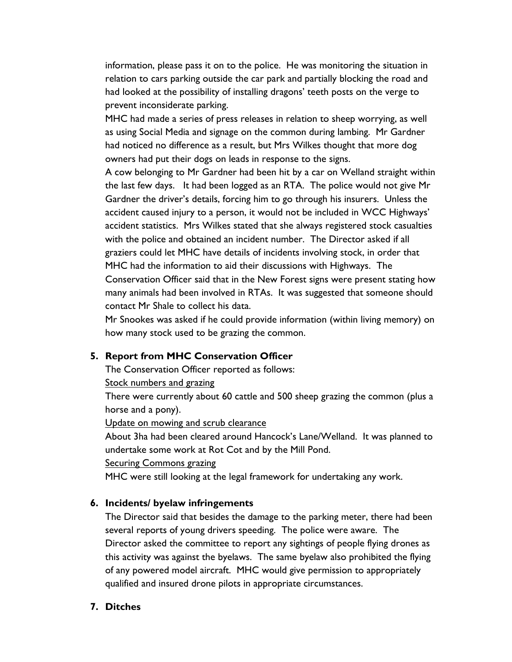information, please pass it on to the police. He was monitoring the situation in relation to cars parking outside the car park and partially blocking the road and had looked at the possibility of installing dragons' teeth posts on the verge to prevent inconsiderate parking.

MHC had made a series of press releases in relation to sheep worrying, as well as using Social Media and signage on the common during lambing. Mr Gardner had noticed no difference as a result, but Mrs Wilkes thought that more dog owners had put their dogs on leads in response to the signs.

A cow belonging to Mr Gardner had been hit by a car on Welland straight within the last few days. It had been logged as an RTA. The police would not give Mr Gardner the driver's details, forcing him to go through his insurers. Unless the accident caused injury to a person, it would not be included in WCC Highways' accident statistics. Mrs Wilkes stated that she always registered stock casualties with the police and obtained an incident number. The Director asked if all graziers could let MHC have details of incidents involving stock, in order that MHC had the information to aid their discussions with Highways. The Conservation Officer said that in the New Forest signs were present stating how many animals had been involved in RTAs. It was suggested that someone should contact Mr Shale to collect his data.

Mr Snookes was asked if he could provide information (within living memory) on how many stock used to be grazing the common.

# **5. Report from MHC Conservation Officer**

The Conservation Officer reported as follows:

## Stock numbers and grazing

There were currently about 60 cattle and 500 sheep grazing the common (plus a horse and a pony).

Update on mowing and scrub clearance

About 3ha had been cleared around Hancock's Lane/Welland. It was planned to undertake some work at Rot Cot and by the Mill Pond.

## **Securing Commons grazing**

MHC were still looking at the legal framework for undertaking any work.

# **6. Incidents/ byelaw infringements**

The Director said that besides the damage to the parking meter, there had been several reports of young drivers speeding. The police were aware. The Director asked the committee to report any sightings of people flying drones as this activity was against the byelaws. The same byelaw also prohibited the flying of any powered model aircraft. MHC would give permission to appropriately qualified and insured drone pilots in appropriate circumstances.

# **7. Ditches**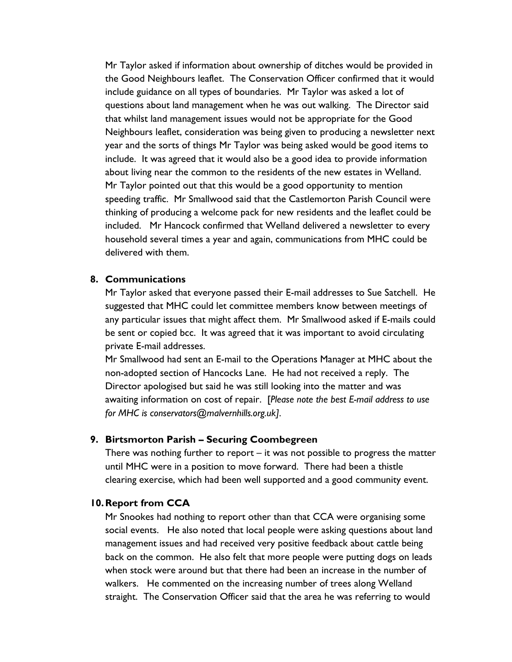Mr Taylor asked if information about ownership of ditches would be provided in the Good Neighbours leaflet. The Conservation Officer confirmed that it would include guidance on all types of boundaries. Mr Taylor was asked a lot of questions about land management when he was out walking. The Director said that whilst land management issues would not be appropriate for the Good Neighbours leaflet, consideration was being given to producing a newsletter next year and the sorts of things Mr Taylor was being asked would be good items to include. It was agreed that it would also be a good idea to provide information about living near the common to the residents of the new estates in Welland. Mr Taylor pointed out that this would be a good opportunity to mention speeding traffic. Mr Smallwood said that the Castlemorton Parish Council were thinking of producing a welcome pack for new residents and the leaflet could be included. Mr Hancock confirmed that Welland delivered a newsletter to every household several times a year and again, communications from MHC could be delivered with them.

#### **8. Communications**

Mr Taylor asked that everyone passed their E-mail addresses to Sue Satchell. He suggested that MHC could let committee members know between meetings of any particular issues that might affect them. Mr Smallwood asked if E-mails could be sent or copied bcc. It was agreed that it was important to avoid circulating private E-mail addresses.

Mr Smallwood had sent an E-mail to the Operations Manager at MHC about the non-adopted section of Hancocks Lane. He had not received a reply. The Director apologised but said he was still looking into the matter and was awaiting information on cost of repair. [*Please note the best E-mail address to use for MHC is conservators@malvernhills.org.uk].*

#### **9. Birtsmorton Parish – Securing Coombegreen**

There was nothing further to report – it was not possible to progress the matter until MHC were in a position to move forward. There had been a thistle clearing exercise, which had been well supported and a good community event.

#### **10.Report from CCA**

Mr Snookes had nothing to report other than that CCA were organising some social events. He also noted that local people were asking questions about land management issues and had received very positive feedback about cattle being back on the common. He also felt that more people were putting dogs on leads when stock were around but that there had been an increase in the number of walkers. He commented on the increasing number of trees along Welland straight. The Conservation Officer said that the area he was referring to would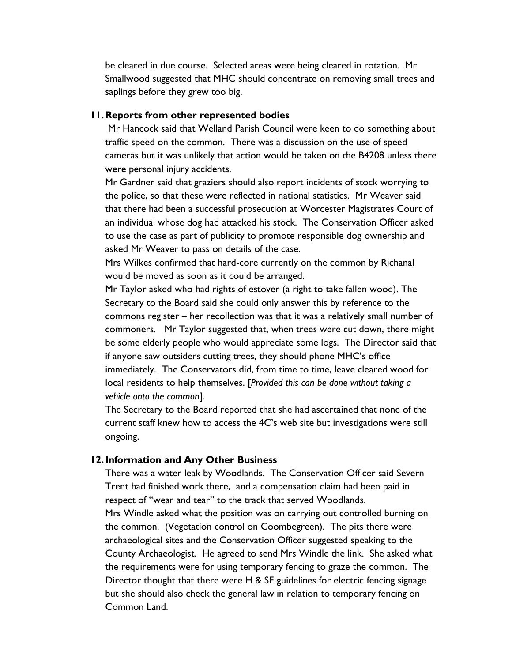be cleared in due course. Selected areas were being cleared in rotation. Mr Smallwood suggested that MHC should concentrate on removing small trees and saplings before they grew too big.

#### **11.Reports from other represented bodies**

Mr Hancock said that Welland Parish Council were keen to do something about traffic speed on the common. There was a discussion on the use of speed cameras but it was unlikely that action would be taken on the B4208 unless there were personal injury accidents.

Mr Gardner said that graziers should also report incidents of stock worrying to the police, so that these were reflected in national statistics. Mr Weaver said that there had been a successful prosecution at Worcester Magistrates Court of an individual whose dog had attacked his stock. The Conservation Officer asked to use the case as part of publicity to promote responsible dog ownership and asked Mr Weaver to pass on details of the case.

Mrs Wilkes confirmed that hard-core currently on the common by Richanal would be moved as soon as it could be arranged.

Mr Taylor asked who had rights of estover (a right to take fallen wood). The Secretary to the Board said she could only answer this by reference to the commons register – her recollection was that it was a relatively small number of commoners. Mr Taylor suggested that, when trees were cut down, there might be some elderly people who would appreciate some logs. The Director said that if anyone saw outsiders cutting trees, they should phone MHC's office immediately. The Conservators did, from time to time, leave cleared wood for local residents to help themselves. [*Provided this can be done without taking a vehicle onto the common*].

The Secretary to the Board reported that she had ascertained that none of the current staff knew how to access the 4C's web site but investigations were still ongoing.

## **12.Information and Any Other Business**

There was a water leak by Woodlands. The Conservation Officer said Severn Trent had finished work there, and a compensation claim had been paid in respect of "wear and tear" to the track that served Woodlands. Mrs Windle asked what the position was on carrying out controlled burning on the common. (Vegetation control on Coombegreen). The pits there were archaeological sites and the Conservation Officer suggested speaking to the County Archaeologist. He agreed to send Mrs Windle the link. She asked what the requirements were for using temporary fencing to graze the common. The Director thought that there were H & SE guidelines for electric fencing signage but she should also check the general law in relation to temporary fencing on Common Land.